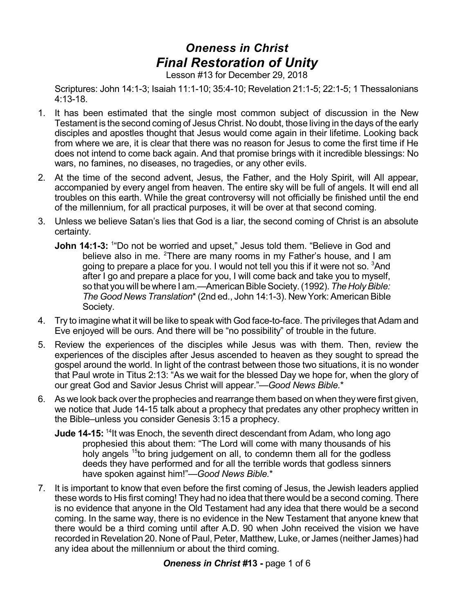## *Oneness in Christ Final Restoration of Unity*

Lesson #13 for December 29, 2018

Scriptures: John 14:1-3; Isaiah 11:1-10; 35:4-10; Revelation 21:1-5; 22:1-5; 1 Thessalonians 4:13-18.

- 1. It has been estimated that the single most common subject of discussion in the New Testament is the second coming of Jesus Christ. No doubt, those living in the days of the early disciples and apostles thought that Jesus would come again in their lifetime. Looking back from where we are, it is clear that there was no reason for Jesus to come the first time if He does not intend to come back again. And that promise brings with it incredible blessings: No wars, no famines, no diseases, no tragedies, or any other evils.
- 2. At the time of the second advent, Jesus, the Father, and the Holy Spirit, will All appear, accompanied by every angel from heaven. The entire sky will be full of angels. It will end all troubles on this earth. While the great controversy will not officially be finished until the end of the millennium, for all practical purposes, it will be over at that second coming.
- 3. Unless we believe Satan's lies that God is a liar, the second coming of Christ is an absolute certainty.
	- **John 14:1-3:** <sup>1</sup>"Do not be worried and upset," Jesus told them. "Believe in God and believe also in me. <sup>2</sup>There are many rooms in my Father's house, and I am going to prepare a place for you. I would not tell you this if it were not so. <sup>3</sup>And after I go and prepare a place for you, I will come back and take you to myself, so that you will be where I am.—American Bible Society. (1992). The Holy Bible: *The Good News Translation*\*(2nd ed., John 14:1-3). New York: American Bible Society.
- 4. Try to imagine what it will be like to speak with God face-to-face. The privileges that Adam and Eve enjoyed will be ours. And there will be "no possibility" of trouble in the future.
- 5. Review the experiences of the disciples while Jesus was with them. Then, review the experiences of the disciples after Jesus ascended to heaven as they sought to spread the gospel around the world. In light of the contrast between those two situations, it is no wonder that Paul wrote in Titus 2:13: "As we wait for the blessed Day we hope for, when the glory of our great God and Savior Jesus Christ will appear."—*Good News Bible.*\*
- 6. As we look back overthe prophecies and rearrange them based on when they were first given, we notice that Jude 14-15 talk about a prophecy that predates any other prophecy written in the Bible–unless you consider Genesis 3:15 a prophecy.
	- **Jude 14-15:** <sup>14</sup>It was Enoch, the seventh direct descendant from Adam, who long ago prophesied this about them: "The Lord will come with many thousands of his holy angels <sup>15</sup>to bring judgement on all, to condemn them all for the godless deeds they have performed and for all the terrible words that godless sinners have spoken against him!"—*Good News Bible.*\*
- 7. It is important to know that even before the first coming of Jesus, the Jewish leaders applied these words to His first coming! They had no idea that there would be a second coming. There is no evidence that anyone in the Old Testament had any idea that there would be a second coming. In the same way, there is no evidence in the New Testament that anyone knew that there would be a third coming until after A.D. 90 when John received the vision we have recorded in Revelation 20. None of Paul, Peter, Matthew, Luke, or James (neither James) had any idea about the millennium or about the third coming.

## *Oneness in Christ #***13 -** page 1 of 6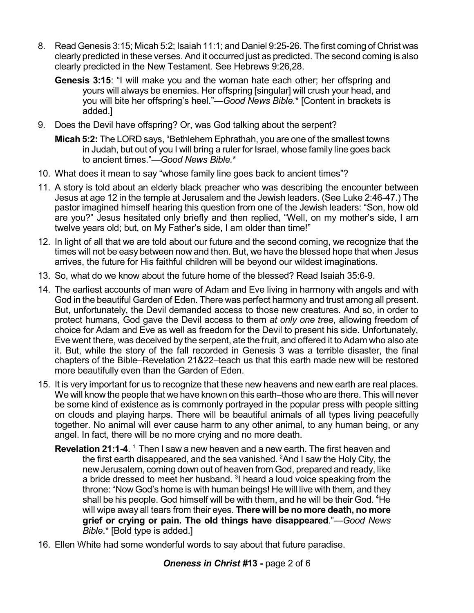- 8. Read Genesis 3:15; Micah 5:2; Isaiah 11:1; and Daniel 9:25-26. The first coming of Christ was clearly predicted in these verses. And it occurred just as predicted. The second coming is also clearly predicted in the New Testament. See Hebrews 9:26,28.
	- **Genesis 3:15**: "I will make you and the woman hate each other; her offspring and yours will always be enemies. Her offspring [singular] will crush your head, and you will bite her offspring's heel."—*Good News Bible.*\* [Content in brackets is added.]
- 9. Does the Devil have offspring? Or, was God talking about the serpent?
	- **Micah 5:2:** The LORD says, "Bethlehem Ephrathah, you are one of the smallest towns in Judah, but out of you I will bring a ruler for Israel, whose family line goes back to ancient times."—*Good News Bible.*\*
- 10. What does it mean to say "whose family line goes back to ancient times"?
- 11. A story is told about an elderly black preacher who was describing the encounter between Jesus at age 12 in the temple at Jerusalem and the Jewish leaders. (See Luke 2:46-47.) The pastor imagined himself hearing this question from one of the Jewish leaders: "Son, how old are you?" Jesus hesitated only briefly and then replied, "Well, on my mother's side, I am twelve years old; but, on My Father's side, I am older than time!"
- 12. In light of all that we are told about our future and the second coming, we recognize that the times will not be easy between now and then. But, we have the blessed hope that when Jesus arrives, the future for His faithful children will be beyond our wildest imaginations.
- 13. So, what do we know about the future home of the blessed? Read Isaiah 35:6-9.
- 14. The earliest accounts of man were of Adam and Eve living in harmony with angels and with God in the beautiful Garden of Eden. There was perfect harmony and trust among all present. But, unfortunately, the Devil demanded access to those new creatures. And so, in order to protect humans, God gave the Devil access to them *at only one tree*, allowing freedom of choice for Adam and Eve as well as freedom for the Devil to present his side. Unfortunately, Eve went there, was deceived by the serpent, ate the fruit, and offered it to Adam who also ate it. But, while the story of the fall recorded in Genesis 3 was a terrible disaster, the final chapters of the Bible–Revelation 21&22–teach us that this earth made new will be restored more beautifully even than the Garden of Eden.
- 15. It is very important for us to recognize that these new heavens and new earth are real places. We will know the people that we have known on this earth–those who are there. This will never be some kind of existence as is commonly portrayed in the popular press with people sitting on clouds and playing harps. There will be beautiful animals of all types living peacefully together. No animal will ever cause harm to any other animal, to any human being, or any angel. In fact, there will be no more crying and no more death.
	- **Revelation 21:1-4.** <sup>1</sup> Then I saw a new heaven and a new earth. The first heaven and the first earth disappeared, and the sea vanished.  $^{2}$ And I saw the Holy City, the newJerusalem, coming down out of heaven from God, prepared and ready, like a bride dressed to meet her husband. <sup>3</sup>I heard a loud voice speaking from the throne: "Now God's home is with human beings! He will live with them, and they shall be his people. God himself will be with them, and he will be their God. <sup>4</sup>He will wipe away all tears from their eyes. **There will be no more death, no more grief or crying or pain. The old things have disappeared**."—*Good News Bible*.\* [Bold type is added.]
- 16. Ellen White had some wonderful words to say about that future paradise.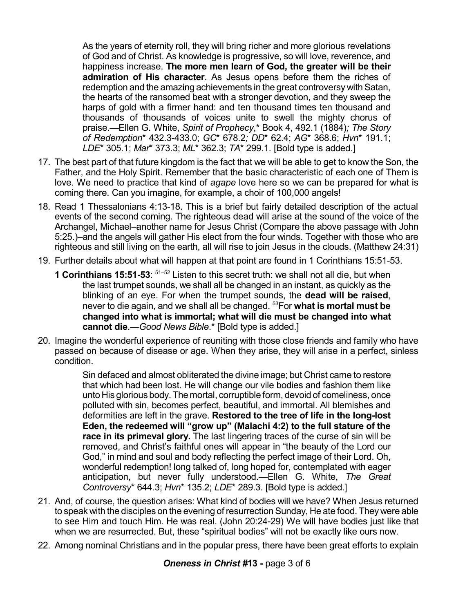As the years of eternity roll, they will bring richer and more glorious revelations of God and of Christ. As knowledge is progressive, so will love, reverence, and happiness increase. **The more men learn of God, the greater will be their admiration of His character**. As Jesus opens before them the riches of redemption and the amazing achievements in the great controversy with Satan, the hearts of the ransomed beat with a stronger devotion, and they sweep the harps of gold with a firmer hand: and ten thousand times ten thousand and thousands of thousands of voices unite to swell the mighty chorus of praise.—Ellen G. White, *Spirit of Prophecy*,\* Book 4, 492.1 (1884)*; The Story of Redemption*\* 432.3-433.0; *GC*\* 678.2*; DD*\* 62.4; *AG*\* 368.6; *Hvn*\* 191.1; *LDE*\* 305.1; *Mar*\* 373.3; *ML*\* 362.3; *TA*\* 299.1. [Bold type is added.]

- 17. The best part of that future kingdom is the fact that we will be able to get to know the Son, the Father, and the Holy Spirit. Remember that the basic characteristic of each one of Them is love. We need to practice that kind of *agape* love here so we can be prepared for what is coming there. Can you imagine, for example, a choir of 100,000 angels!
- 18. Read 1 Thessalonians 4:13-18. This is a brief but fairly detailed description of the actual events of the second coming. The righteous dead will arise at the sound of the voice of the Archangel, Michael–another name for Jesus Christ (Compare the above passage with John 5:25.)–and the angels will gather His elect from the four winds. Together with those who are righteous and still living on the earth, all will rise to join Jesus in the clouds. (Matthew 24:31)
- 19. Further details about what will happen at that point are found in 1 Corinthians 15:51-53.
	- **1 Corinthians 15:51-53**: 51–52 Listen to this secret truth: we shall not all die, but when the last trumpet sounds, we shall all be changed in an instant, as quickly as the blinking of an eye. For when the trumpet sounds, the **dead will be raised**, never to die again, and we shall all be changed. <sup>53</sup>For **what is mortal must be changed into what is immortal; what will die must be changed into what cannot die**.—*Good News Bible*.\* [Bold type is added.]
- 20. Imagine the wonderful experience of reuniting with those close friends and family who have passed on because of disease or age. When they arise, they will arise in a perfect, sinless condition.

Sin defaced and almost obliterated the divine image; but Christ came to restore that which had been lost. He will change our vile bodies and fashion them like unto His glorious body. The mortal, corruptible form, devoid of comeliness, once polluted with sin, becomes perfect, beautiful, and immortal. All blemishes and deformities are left in the grave. **Restored to the tree of life in the long-lost Eden, the redeemed will "grow up" (Malachi 4:2) to the full stature of the race in its primeval glory.** The last lingering traces of the curse of sin will be removed, and Christ's faithful ones will appear in "the beauty of the Lord our God," in mind and soul and body reflecting the perfect image of their Lord. Oh, wonderful redemption! long talked of, long hoped for, contemplated with eager anticipation, but never fully understood.—Ellen G. White, *The Great Controversy*\* 644.3; *Hvn*\* 135.2; *LDE*\* 289.3. [Bold type is added.]

- 21. And, of course, the question arises: What kind of bodies will we have? When Jesus returned to speak with the disciples on the evening of resurrection Sunday, He ate food. They were able to see Him and touch Him. He was real. (John 20:24-29) We will have bodies just like that when we are resurrected. But, these "spiritual bodies" will not be exactly like ours now.
- 22. Among nominal Christians and in the popular press, there have been great efforts to explain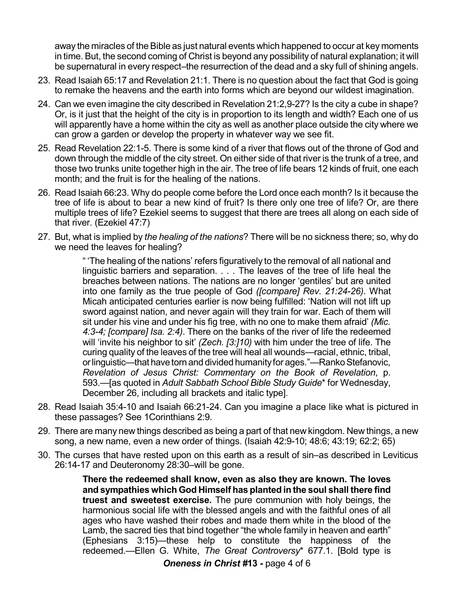away the miracles of the Bible as just natural events which happened to occur at key moments in time. But, the second coming of Christ is beyond any possibility of natural explanation; it will be supernatural in every respect–the resurrection of the dead and a sky full of shining angels.

- 23. Read Isaiah 65:17 and Revelation 21:1. There is no question about the fact that God is going to remake the heavens and the earth into forms which are beyond our wildest imagination.
- 24. Can we even imagine the city described in Revelation 21:2,9-27? Is the city a cube in shape? Or, is it just that the height of the city is in proportion to its length and width? Each one of us will apparently have a home within the city as well as another place outside the city where we can grow a garden or develop the property in whatever way we see fit.
- 25. Read Revelation 22:1-5. There is some kind of a river that flows out of the throne of God and down through the middle of the city street. On either side of that river is the trunk of a tree, and those two trunks unite together high in the air. The tree of life bears 12 kinds of fruit, one each month; and the fruit is for the healing of the nations.
- 26. Read Isaiah 66:23. Why do people come before the Lord once each month? Is it because the tree of life is about to bear a new kind of fruit? Is there only one tree of life? Or, are there multiple trees of life? Ezekiel seems to suggest that there are trees all along on each side of that river. (Ezekiel 47:7)
- 27. But, what is implied by *the healing of the nations*? There will be no sickness there; so, why do we need the leaves for healing?

" 'The healing of the nations' refers figuratively to the removal of all national and linguistic barriers and separation. . . . The leaves of the tree of life heal the breaches between nations. The nations are no longer 'gentiles' but are united into one family as the true people of God *([compare] Rev. 21:24-26)*. What Micah anticipated centuries earlier is now being fulfilled: 'Nation will not lift up sword against nation, and never again will they train for war. Each of them will sit under his vine and under his fig tree, with no one to make them afraid' *(Mic. 4:3-4; [compare] Isa. 2:4)*. There on the banks of the river of life the redeemed will 'invite his neighbor to sit' *(Zech. [3:]10)* with him under the tree of life. The curing quality of the leaves of the tree will heal all wounds—racial, ethnic, tribal, or linguistic—that have torn and divided humanity for ages."—Ranko Stefanovic, *Revelation of Jesus Christ: Commentary on the Book of Revelation*, p. 593.—[as quoted in *Adult Sabbath School Bible Study Guide*\* for Wednesday, December 26, including all brackets and italic type].

- 28. Read Isaiah 35:4-10 and Isaiah 66:21-24. Can you imagine a place like what is pictured in these passages? See 1Corinthians 2:9.
- 29. There are many new things described as being a part of that new kingdom. New things, a new song, a new name, even a new order of things. (Isaiah 42:9-10; 48:6; 43:19; 62:2; 65)
- 30. The curses that have rested upon on this earth as a result of sin–as described in Leviticus 26:14-17 and Deuteronomy 28:30–will be gone.

**There the redeemed shall know, even as also they are known. The loves and sympathies which God Himself has planted in the soul shall there find truest and sweetest exercise.** The pure communion with holy beings, the harmonious social life with the blessed angels and with the faithful ones of all ages who have washed their robes and made them white in the blood of the Lamb, the sacred ties that bind together "the whole family in heaven and earth" (Ephesians 3:15)—these help to constitute the happiness of the redeemed.—Ellen G. White, *The Great Controversy*\* 677.1. [Bold type is

*Oneness in Christ #***13 -** page 4 of 6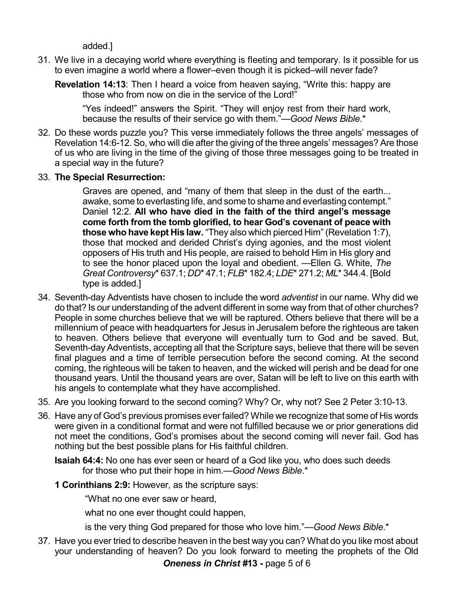## added.]

- 31. We live in a decaying world where everything is fleeting and temporary. Is it possible for us to even imagine a world where a flower–even though it is picked–will never fade?
	- **Revelation 14:13**: Then I heard a voice from heaven saying, "Write this: happy are those who from now on die in the service of the Lord!"

"Yes indeed!" answers the Spirit. "They will enjoy rest from their hard work, because the results of their service go with them."—*Good News Bible*.\*

- 32. Do these words puzzle you? This verse immediately follows the three angels' messages of Revelation 14:6-12. So, who will die after the giving of the three angels' messages? Are those of us who are living in the time of the giving of those three messages going to be treated in a special way in the future?
- 33. **The Special Resurrection:**

Graves are opened, and "many of them that sleep in the dust of the earth... awake, some to everlasting life, and some to shame and everlasting contempt." Daniel 12:2. **All who have died in the faith of the third angel's message come forth from the tomb glorified, to hear God's covenant of peace with those who have kept His law.** "They also which pierced Him" (Revelation 1:7), those that mocked and derided Christ's dying agonies, and the most violent opposers of His truth and His people, are raised to behold Him in His glory and to see the honor placed upon the loyal and obedient. —Ellen G. White, *The Great Controversy*\* 637.1; *DD*\* 47.1; *FLB*\* 182.4; *LDE*\* 271.2; *ML*\* 344.4. [Bold type is added.]

- 34. Seventh-day Adventists have chosen to include the word *adventist* in our name. Why did we do that? Is our understanding of the advent different in some way from that of other churches? People in some churches believe that we will be raptured. Others believe that there will be a millennium of peace with headquarters for Jesus in Jerusalem before the righteous are taken to heaven. Others believe that everyone will eventually turn to God and be saved. But, Seventh-day Adventists, accepting all that the Scripture says, believe that there will be seven final plagues and a time of terrible persecution before the second coming. At the second coming, the righteous will be taken to heaven, and the wicked will perish and be dead for one thousand years. Until the thousand years are over, Satan will be left to live on this earth with his angels to contemplate what they have accomplished.
- 35. Are you looking forward to the second coming? Why? Or, why not? See 2 Peter 3:10-13.
- 36. Have any of God's previous promises ever failed? While we recognize that some of His words were given in a conditional format and were not fulfilled because we or prior generations did not meet the conditions, God's promises about the second coming will never fail. God has nothing but the best possible plans for His faithful children.

**Isaiah 64:4:** No one has ever seen or heard of a God like you, who does such deeds for those who put their hope in him.—*Good News Bible*.\*

**1 Corinthians 2:9:** However, as the scripture says:

"What no one ever saw or heard,

what no one ever thought could happen,

is the very thing God prepared for those who love him."—*Good News Bible*.\*

37. Have you ever tried to describe heaven in the best way you can? What do you like most about your understanding of heaven? Do you look forward to meeting the prophets of the Old

*Oneness in Christ #***13 -** page 5 of 6